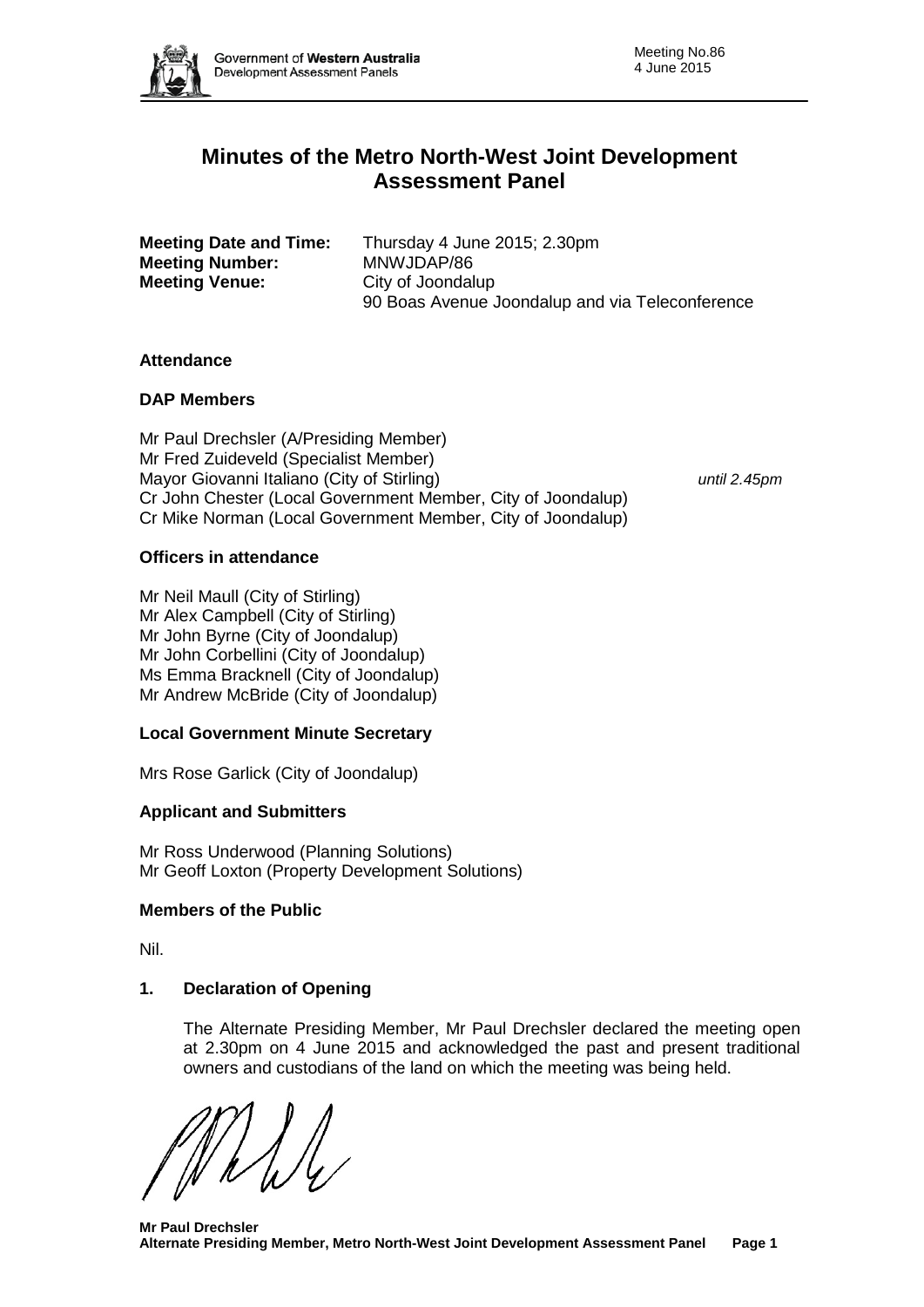

# **Minutes of the Metro North-West Joint Development Assessment Panel**

| <b>Meeting Date and Time:</b> | Thursday 4 June 2015; 2.30pm                    |
|-------------------------------|-------------------------------------------------|
| <b>Meeting Number:</b>        | MNWJDAP/86                                      |
| <b>Meeting Venue:</b>         | City of Joondalup                               |
|                               | 90 Boas Avenue Joondalup and via Teleconference |

### **Attendance**

# **DAP Members**

Mr Paul Drechsler (A/Presiding Member) Mr Fred Zuideveld (Specialist Member) Mayor Giovanni Italiano (City of Stirling) *until 2.45pm* Cr John Chester (Local Government Member, City of Joondalup) Cr Mike Norman (Local Government Member, City of Joondalup)

### **Officers in attendance**

Mr Neil Maull (City of Stirling) Mr Alex Campbell (City of Stirling) Mr John Byrne (City of Joondalup) Mr John Corbellini (City of Joondalup) Ms Emma Bracknell (City of Joondalup) Mr Andrew McBride (City of Joondalup)

# **Local Government Minute Secretary**

Mrs Rose Garlick (City of Joondalup)

# **Applicant and Submitters**

Mr Ross Underwood (Planning Solutions) Mr Geoff Loxton (Property Development Solutions)

#### **Members of the Public**

Nil.

# **1. Declaration of Opening**

The Alternate Presiding Member, Mr Paul Drechsler declared the meeting open at 2.30pm on 4 June 2015 and acknowledged the past and present traditional owners and custodians of the land on which the meeting was being held.

**Mr Paul Drechsler Alternate Presiding Member, Metro North-West Joint Development Assessment Panel Page 1**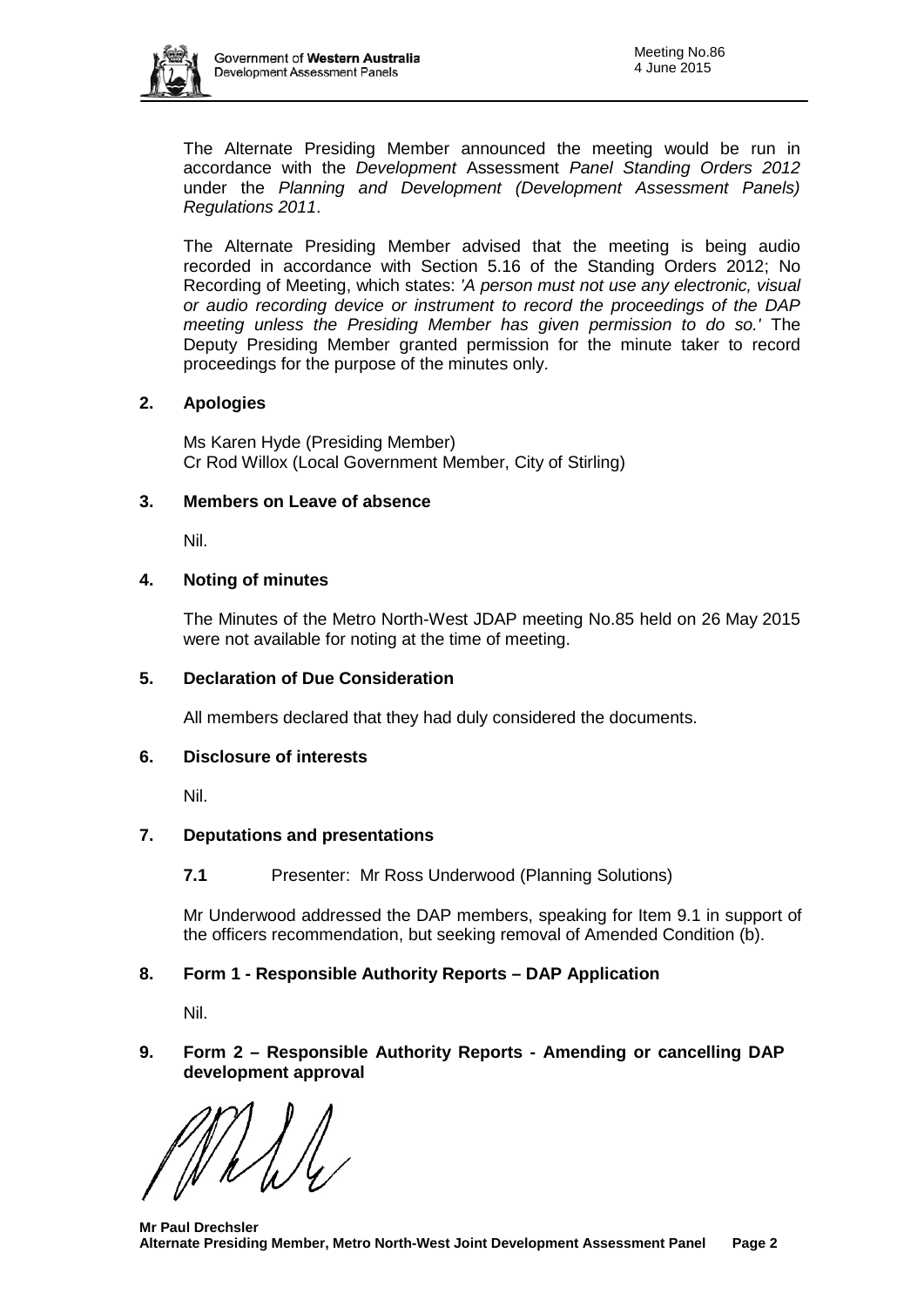The Alternate Presiding Member announced the meeting would be run in accordance with the *Development* Assessment *Panel Standing Orders 2012* under the *Planning and Development (Development Assessment Panels) Regulations 2011*.

The Alternate Presiding Member advised that the meeting is being audio recorded in accordance with Section 5.16 of the Standing Orders 2012; No Recording of Meeting, which states: *'A person must not use any electronic, visual or audio recording device or instrument to record the proceedings of the DAP meeting unless the Presiding Member has given permission to do so.'* The Deputy Presiding Member granted permission for the minute taker to record proceedings for the purpose of the minutes only.

# **2. Apologies**

Ms Karen Hyde (Presiding Member) Cr Rod Willox (Local Government Member, City of Stirling)

# **3. Members on Leave of absence**

Nil.

# **4. Noting of minutes**

The Minutes of the Metro North-West JDAP meeting No.85 held on 26 May 2015 were not available for noting at the time of meeting.

# **5. Declaration of Due Consideration**

All members declared that they had duly considered the documents.

# **6. Disclosure of interests**

Nil.

# **7. Deputations and presentations**

**7.1** Presenter: Mr Ross Underwood (Planning Solutions)

Mr Underwood addressed the DAP members, speaking for Item 9.1 in support of the officers recommendation, but seeking removal of Amended Condition (b).

# **8. Form 1 - Responsible Authority Reports – DAP Application**

Nil.

# **9. Form 2 – Responsible Authority Reports - Amending or cancelling DAP development approval**

**Mr Paul Drechsler Alternate Presiding Member, Metro North-West Joint Development Assessment Panel Page 2**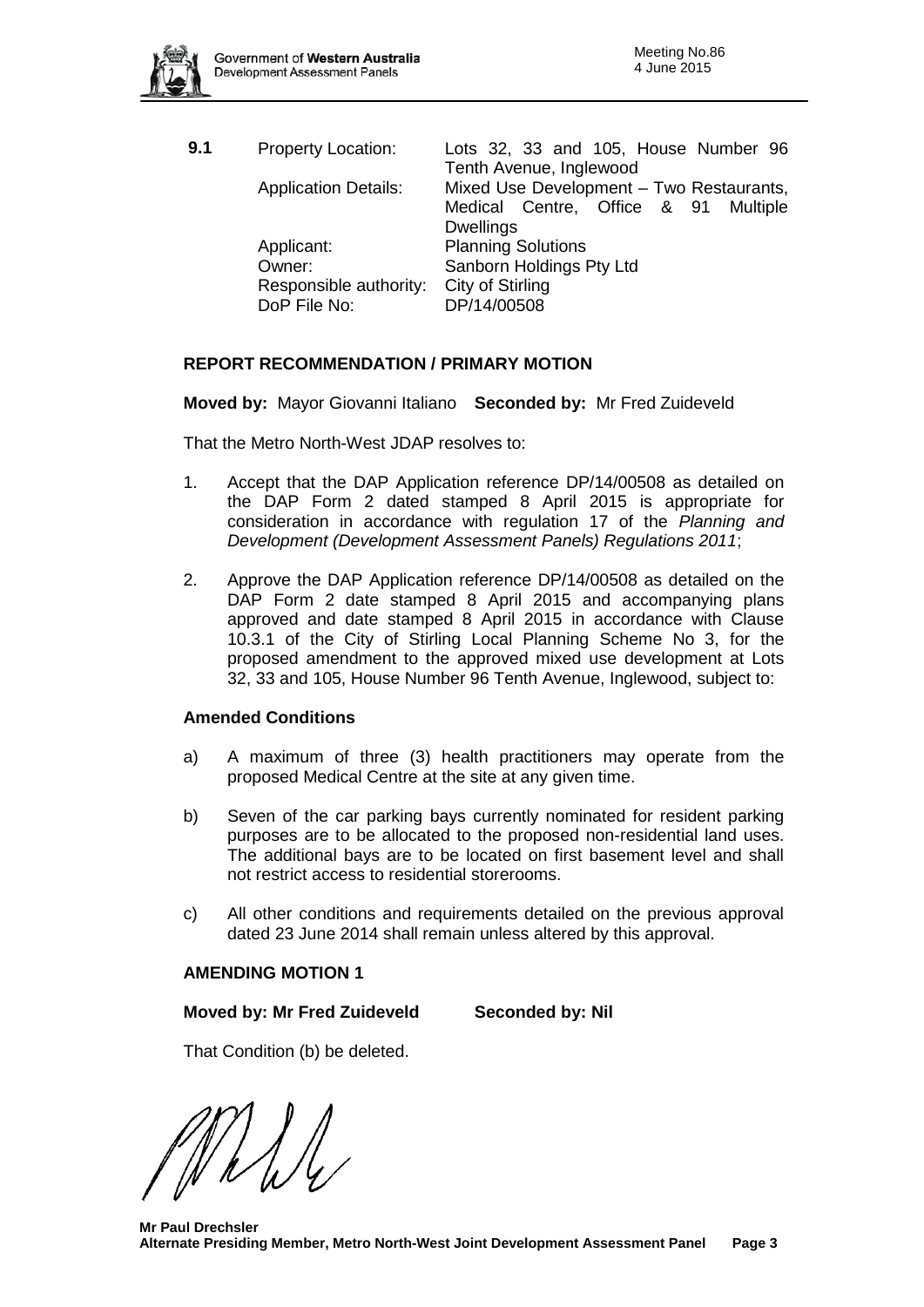

| Lots 32, 33 and 105, House Number 96<br>Tenth Avenue, Inglewood |
|-----------------------------------------------------------------|
| Mixed Use Development - Two Restaurants,                        |
| Medical Centre, Office & 91 Multiple                            |
|                                                                 |
| <b>Planning Solutions</b>                                       |
| Sanborn Holdings Pty Ltd                                        |
| City of Stirling                                                |
| DP/14/00508                                                     |
|                                                                 |

# **REPORT RECOMMENDATION / PRIMARY MOTION**

**Moved by:** Mayor Giovanni Italiano **Seconded by:** Mr Fred Zuideveld

That the Metro North-West JDAP resolves to:

- 1. Accept that the DAP Application reference DP/14/00508 as detailed on the DAP Form 2 dated stamped 8 April 2015 is appropriate for consideration in accordance with regulation 17 of the *Planning and Development (Development Assessment Panels) Regulations 2011*;
- 2. Approve the DAP Application reference DP/14/00508 as detailed on the DAP Form 2 date stamped 8 April 2015 and accompanying plans approved and date stamped 8 April 2015 in accordance with Clause 10.3.1 of the City of Stirling Local Planning Scheme No 3, for the proposed amendment to the approved mixed use development at Lots 32, 33 and 105, House Number 96 Tenth Avenue, Inglewood, subject to:

#### **Amended Conditions**

- a) A maximum of three (3) health practitioners may operate from the proposed Medical Centre at the site at any given time.
- b) Seven of the car parking bays currently nominated for resident parking purposes are to be allocated to the proposed non-residential land uses. The additional bays are to be located on first basement level and shall not restrict access to residential storerooms.
- c) All other conditions and requirements detailed on the previous approval dated 23 June 2014 shall remain unless altered by this approval.

#### **AMENDING MOTION 1**

#### **Moved by: Mr Fred Zuideveld Seconded by: Nil**

That Condition (b) be deleted.

**Mr Paul Drechsler Alternate Presiding Member, Metro North-West Joint Development Assessment Panel Page 3**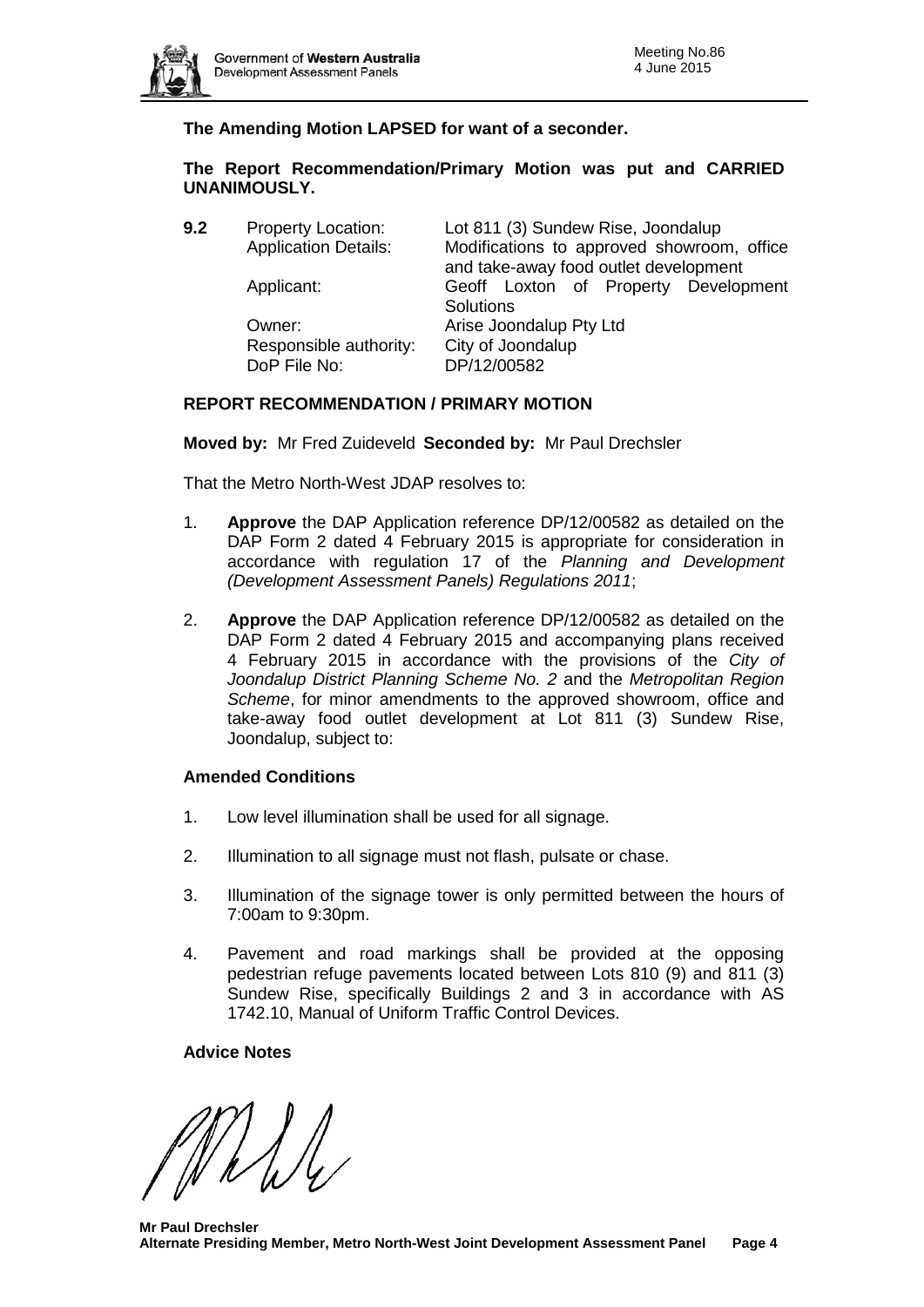

# **The Amending Motion LAPSED for want of a seconder.**

# **The Report Recommendation/Primary Motion was put and CARRIED UNANIMOUSLY.**

Responsible authority: City of Joondalup<br>DoP File No: DP/12/00582 DoP File No:

**9.2** Property Location: Lot 811 (3) Sundew Rise, Joondalup Application Details: Modifications to approved showroom, office and take-away food outlet development Applicant: Geoff Loxton of Property Development **Solutions** Owner: **Arise Joondalup Pty Ltd** 

# **REPORT RECOMMENDATION / PRIMARY MOTION**

### **Moved by:** Mr Fred Zuideveld **Seconded by:** Mr Paul Drechsler

That the Metro North-West JDAP resolves to:

- 1. **Approve** the DAP Application reference DP/12/00582 as detailed on the DAP Form 2 dated 4 February 2015 is appropriate for consideration in accordance with regulation 17 of the *Planning and Development (Development Assessment Panels) Regulations 2011*;
- 2. **Approve** the DAP Application reference DP/12/00582 as detailed on the DAP Form 2 dated 4 February 2015 and accompanying plans received 4 February 2015 in accordance with the provisions of the *City of Joondalup District Planning Scheme No. 2* and the *Metropolitan Region Scheme*, for minor amendments to the approved showroom, office and take-away food outlet development at Lot 811 (3) Sundew Rise, Joondalup, subject to:

#### **Amended Conditions**

- 1. Low level illumination shall be used for all signage.
- 2. Illumination to all signage must not flash, pulsate or chase.
- 3. Illumination of the signage tower is only permitted between the hours of 7:00am to 9:30pm.
- 4. Pavement and road markings shall be provided at the opposing pedestrian refuge pavements located between Lots 810 (9) and 811 (3) Sundew Rise, specifically Buildings 2 and 3 in accordance with AS 1742.10, Manual of Uniform Traffic Control Devices.

# **Advice Notes**

**Mr Paul Drechsler Alternate Presiding Member, Metro North-West Joint Development Assessment Panel Page 4**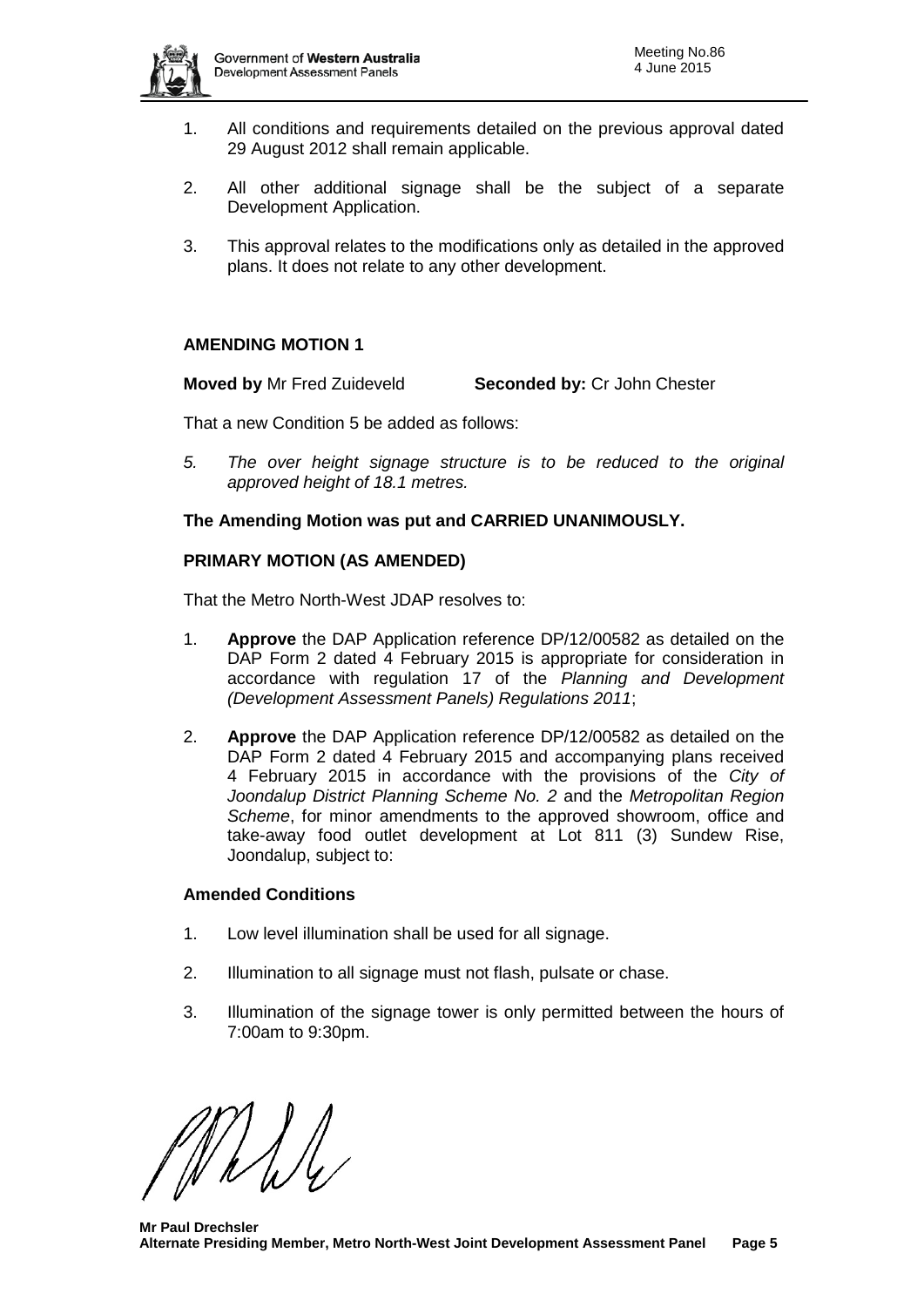

- 1. All conditions and requirements detailed on the previous approval dated 29 August 2012 shall remain applicable.
- 2. All other additional signage shall be the subject of a separate Development Application.
- 3. This approval relates to the modifications only as detailed in the approved plans. It does not relate to any other development.

# **AMENDING MOTION 1**

**Moved by** Mr Fred Zuideveld **Seconded by:** Cr John Chester

That a new Condition 5 be added as follows:

*5. The over height signage structure is to be reduced to the original approved height of 18.1 metres.* 

# **The Amending Motion was put and CARRIED UNANIMOUSLY.**

### **PRIMARY MOTION (AS AMENDED)**

That the Metro North-West JDAP resolves to:

- 1. **Approve** the DAP Application reference DP/12/00582 as detailed on the DAP Form 2 dated 4 February 2015 is appropriate for consideration in accordance with regulation 17 of the *Planning and Development (Development Assessment Panels) Regulations 2011*;
- 2. **Approve** the DAP Application reference DP/12/00582 as detailed on the DAP Form 2 dated 4 February 2015 and accompanying plans received 4 February 2015 in accordance with the provisions of the *City of Joondalup District Planning Scheme No. 2* and the *Metropolitan Region Scheme*, for minor amendments to the approved showroom, office and take-away food outlet development at Lot 811 (3) Sundew Rise, Joondalup, subject to:

# **Amended Conditions**

- 1. Low level illumination shall be used for all signage.
- 2. Illumination to all signage must not flash, pulsate or chase.
- 3. Illumination of the signage tower is only permitted between the hours of 7:00am to 9:30pm.

**Mr Paul Drechsler Alternate Presiding Member, Metro North-West Joint Development Assessment Panel Page 5**